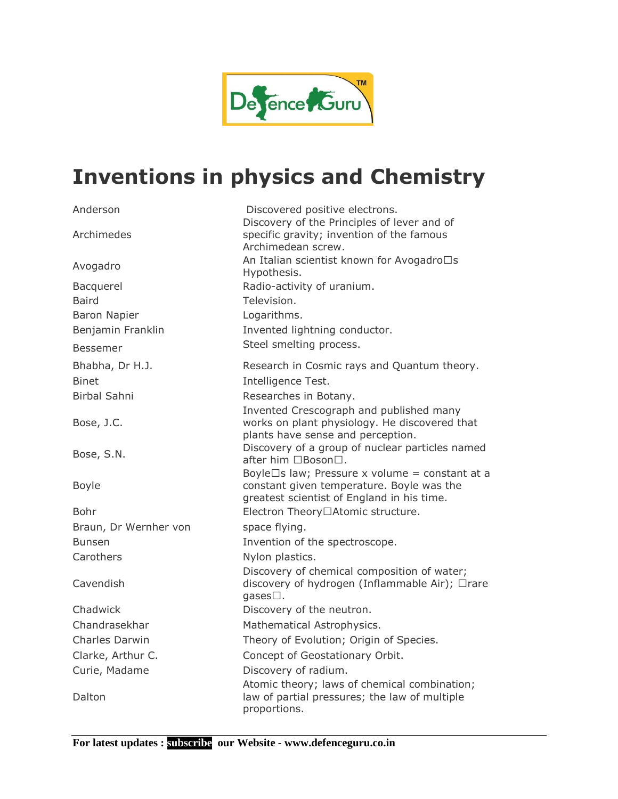

## **Inventions in physics and Chemistry**

| Anderson                  | Discovered positive electrons.                                                                                                            |
|---------------------------|-------------------------------------------------------------------------------------------------------------------------------------------|
| Archimedes                | Discovery of the Principles of lever and of<br>specific gravity; invention of the famous<br>Archimedean screw.                            |
| Avogadro                  | An Italian scientist known for Avogadro's<br>Hypothesis.                                                                                  |
| Bacquerel<br><b>Baird</b> | Radio-activity of uranium.<br>Television.                                                                                                 |
| <b>Baron Napier</b>       | Logarithms.                                                                                                                               |
| Benjamin Franklin         | Invented lightning conductor.                                                                                                             |
| Bessemer                  | Steel smelting process.                                                                                                                   |
| Bhabha, Dr H.J.           | Research in Cosmic rays and Quantum theory.                                                                                               |
| <b>Binet</b>              | Intelligence Test.                                                                                                                        |
| <b>Birbal Sahni</b>       | Researches in Botany.                                                                                                                     |
|                           | Invented Crescograph and published many                                                                                                   |
| Bose, J.C.                | works on plant physiology. He discovered that<br>plants have sense and perception.                                                        |
| Bose, S.N.                | Discovery of a group of nuclear particles named<br>after him " Boson".                                                                    |
| <b>Boyle</b>              | Boyle's law; Pressure x volume = constant at a<br>constant given temperature. Boyle was the<br>greatest scientist of England in his time. |
| Bohr                      | Electron Theory-Atomic structure.                                                                                                         |
| Braun, Dr Wernher von     | space flying.                                                                                                                             |
| <b>Bunsen</b>             | Invention of the spectroscope.                                                                                                            |
| Carothers                 | Nylon plastics.                                                                                                                           |
| Cavendish                 | Discovery of chemical composition of water;<br>discovery of hydrogen (Inflammable Air); 'rare<br>qases'.                                  |
| Chadwick                  | Discovery of the neutron.                                                                                                                 |
| Chandrasekhar             | Mathematical Astrophysics.                                                                                                                |
| Charles Darwin            | Theory of Evolution; Origin of Species.                                                                                                   |
| Clarke, Arthur C.         | Concept of Geostationary Orbit.                                                                                                           |
| Curie, Madame             | Discovery of radium.                                                                                                                      |
| Dalton                    | Atomic theory; laws of chemical combination;<br>law of partial pressures; the law of multiple<br>proportions.                             |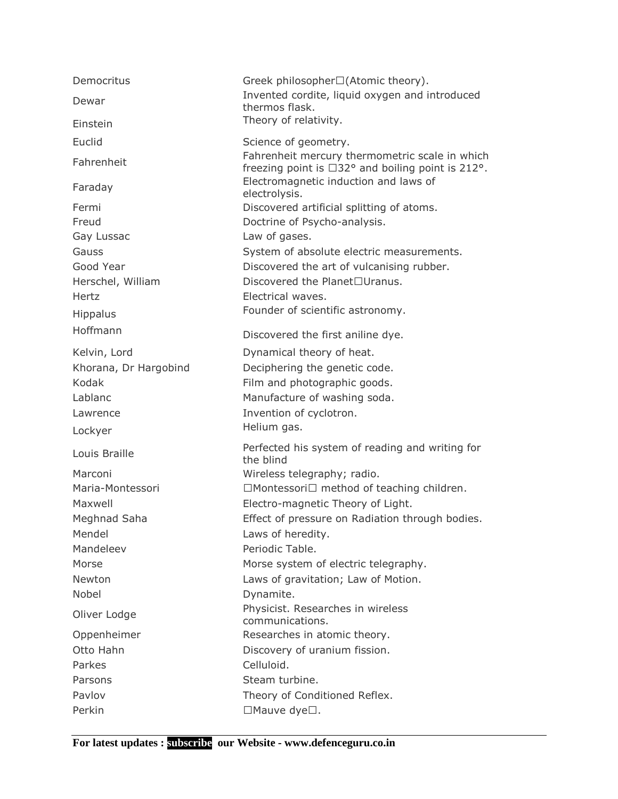| Democritus                                                                                               | Greek philosopher-(Atomic theory).                                                                                                                                                                                                                                                                                  |
|----------------------------------------------------------------------------------------------------------|---------------------------------------------------------------------------------------------------------------------------------------------------------------------------------------------------------------------------------------------------------------------------------------------------------------------|
| Dewar                                                                                                    | Invented cordite, liquid oxygen and introduced<br>thermos flask.                                                                                                                                                                                                                                                    |
| Einstein                                                                                                 | Theory of relativity.                                                                                                                                                                                                                                                                                               |
| Euclid                                                                                                   | Science of geometry.                                                                                                                                                                                                                                                                                                |
| Fahrenheit                                                                                               | Fahrenheit mercury thermometric scale in which<br>freezing point is $-32^{\circ}$ and boiling point is 212°.                                                                                                                                                                                                        |
| Faraday                                                                                                  | Electromagnetic induction and laws of<br>electrolysis.                                                                                                                                                                                                                                                              |
| Fermi<br>Freud<br>Gay Lussac<br>Gauss<br>Good Year<br>Herschel, William<br>Hertz<br>Hippalus<br>Hoffmann | Discovered artificial splitting of atoms.<br>Doctrine of Psycho-analysis.<br>Law of gases.<br>System of absolute electric measurements.<br>Discovered the art of vulcanising rubber.<br>Discovered the Planet-Uranus.<br>Electrical waves.<br>Founder of scientific astronomy.<br>Discovered the first aniline dye. |
| Kelvin, Lord                                                                                             | Dynamical theory of heat.                                                                                                                                                                                                                                                                                           |
| Khorana, Dr Hargobind<br>Kodak<br>Lablanc<br>Lawrence<br>Lockyer                                         | Deciphering the genetic code.<br>Film and photographic goods.<br>Manufacture of washing soda.<br>Invention of cyclotron.<br>Helium gas.                                                                                                                                                                             |
| Louis Braille                                                                                            | Perfected his system of reading and writing for<br>the blind                                                                                                                                                                                                                                                        |
| Marconi<br>Maria-Montessori<br>Maxwell<br>Meghnad Saha<br>Mendel<br>Mandeleev<br>Morse<br>Newton         | Wireless telegraphy; radio.<br>' Montessori' method of teaching children.<br>Electro-magnetic Theory of Light.<br>Effect of pressure on Radiation through bodies.<br>Laws of heredity.<br>Periodic Table.<br>Morse system of electric telegraphy.<br>Laws of gravitation; Law of Motion.                            |
| <b>Nobel</b>                                                                                             | Dynamite.                                                                                                                                                                                                                                                                                                           |
| Oliver Lodge                                                                                             | Physicist. Researches in wireless<br>communications.                                                                                                                                                                                                                                                                |
| Oppenheimer<br>Otto Hahn<br>Parkes<br>Parsons                                                            | Researches in atomic theory.<br>Discovery of uranium fission.<br>Celluloid.<br>Steam turbine.                                                                                                                                                                                                                       |
| Pavlov<br>Perkin                                                                                         | Theory of Conditioned Reflex.<br>Mauve dye' .                                                                                                                                                                                                                                                                       |